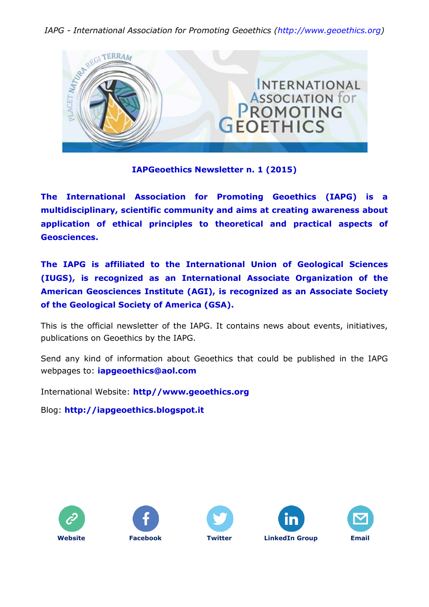

## **IAPGeoethics Newsletter n. 1 (2015)**

**The International Association for Promoting Geoethics (IAPG) is a multidisciplinary, scientific community and aims at creating awareness about application of ethical principles to theoretical and practical aspects of Geosciences.**

**The IAPG is affiliated to the International Union of Geological Sciences (IUGS), is recognized as an International Associate Organization of the American Geosciences Institute (AGI), is recognized as an Associate Society of the Geological Society of America (GSA).**

This is the official newsletter of the IAPG. It contains news about events, initiatives, publications on Geoethics by the IAPG.

Send any kind of information about Geoethics that could be published in the IAPG webpages to: **[iapgeoethics@aol.com](mailto:iapgeoethics@aol.com?subject=IAPG%20newsletter)**

International Website: **[http//www.geoethics.org](http://www.geoethics.org/)**

Blog: **[http://iapgeoethics.blogspot.it](http://iapgeoethics.blogspot.it/)**









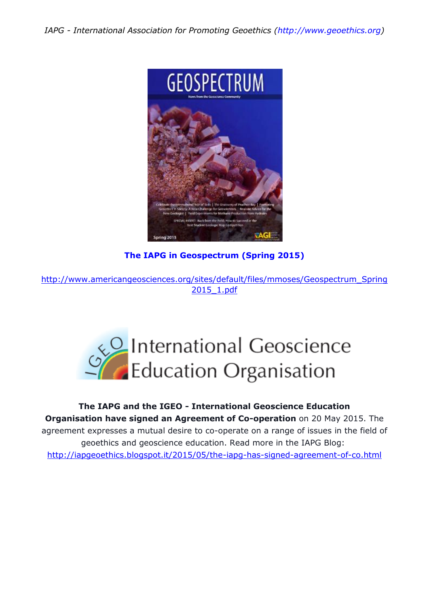

**The IAPG in Geospectrum (Spring 2015)**

[http://www.americangeosciences.org/sites/default/files/mmoses/Geospectrum\\_Spring](http://www.americangeosciences.org/sites/default/files/mmoses/Geospectrum_Spring2015_1.pdf) [2015\\_1.pdf](http://www.americangeosciences.org/sites/default/files/mmoses/Geospectrum_Spring2015_1.pdf)



**The IAPG and the IGEO - International Geoscience Education Organisation have signed an Agreement of Co-operation** on 20 May 2015. The agreement expresses a mutual desire to co-operate on a range of issues in the field of geoethics and geoscience education. Read more in the IAPG Blog: <http://iapgeoethics.blogspot.it/2015/05/the-iapg-has-signed-agreement-of-co.html>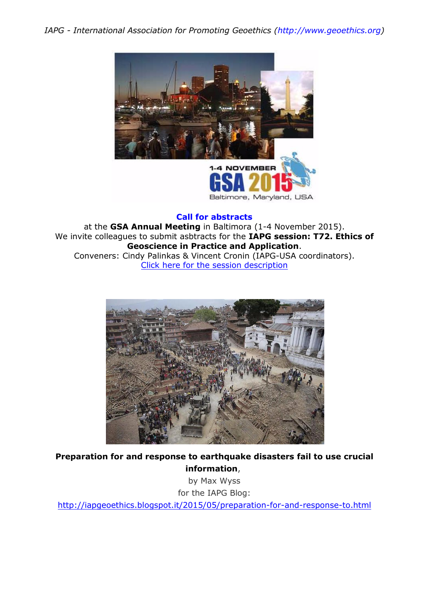

**Call for abstracts**

at the **GSA Annual Meeting** in Baltimora (1-4 November 2015). We invite colleagues to submit asbtracts for the **IAPG session: T72. Ethics of Geoscience in Practice and Application**. Conveners: Cindy Palinkas & Vincent Cronin (IAPG-USA coordinators). Click here for [the session description](http://www.geosociety.org/meetings/2015/sessions/topical.asp)



**Preparation for and response to earthquake disasters fail to use crucial information**,

by Max Wyss for the IAPG Blog: <http://iapgeoethics.blogspot.it/2015/05/preparation-for-and-response-to.html>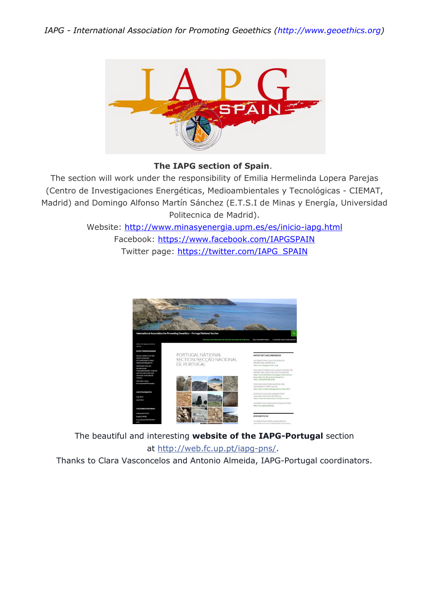

## **The IAPG section of Spain**.

The section will work under the responsibility of Emilia Hermelinda Lopera Parejas (Centro de Investigaciones Energéticas, Medioambientales y Tecnológicas - CIEMAT, Madrid) and Domingo Alfonso Martín Sánchez (E.T.S.I de Minas y Energía, Universidad Politecnica de Madrid).

> Website: <http://www.minasyenergia.upm.es/es/inicio-iapg.html> Facebook: <https://www.facebook.com/IAPGSPAIN> Twitter page: [https://twitter.com/IAPG\\_SPAIN](https://twitter.com/IAPG_SPAIN)



The beautiful and interesting **website of the IAPG-Portugal** section

## at [http://web.fc.up.pt/iapg-pns/.](http://web.fc.up.pt/iapg-pns/)

Thanks to Clara Vasconcelos and Antonio Almeida, IAPG-Portugal coordinators.